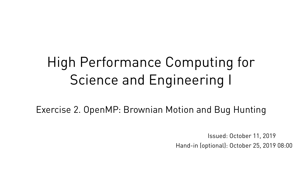# High Performance Computing for Science and Engineering I

Exercise 2. OpenMP: Brownian Motion and Bug Hunting

Hand-in (optional): October 25, 2019 08:00 Issued: October 11, 2019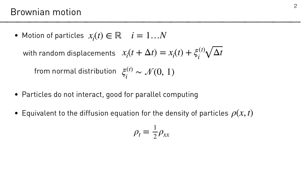## Brownian motion

- Motion of particles  $x_i(t) \in \mathbb{R}$   $i = 1...N$ with random displacements  $x_i(t + \Delta t) = x_i(t) + \xi_i^{(t)} \sqrt{\Delta t}$ *ξ*(*t*) *i* from normal distribution  $\zeta_i^{(t)} \sim \mathcal{N}(0,\,1)$
- Particles do not interact, good for parallel computing
- Equivalent to the diffusion equation for the density of particles  $\rho(x,t)$

 $\rho_{t}$  =

 $x_i(t + \Delta t) = x_i$  $(t) + \xi_i^{(t)}$ 



$$
= \frac{1}{2}\rho_{xx}
$$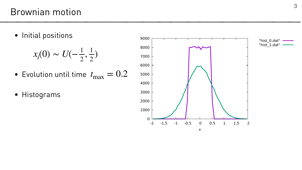### Brownian motion





• Initial positions

$$
x_i(0) \sim U(-\frac{1}{2}, \frac{1}{2})
$$

- Evolution until time *t* max  $= 0.2$
- Histograms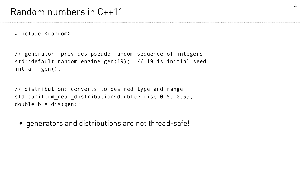#### Random numbers in C++11

// generator: provides pseudo-random sequence of integers std::default\_random\_engine gen(19); // 19 is initial seed int  $a = gen()$ ;

#include <random>

// distribution: converts to desired type and range std::uniform real distribution<double> dis(-0.5, 0.5); double  $b = dis(gen)$ ;



• generators and distributions are not thread-safe!